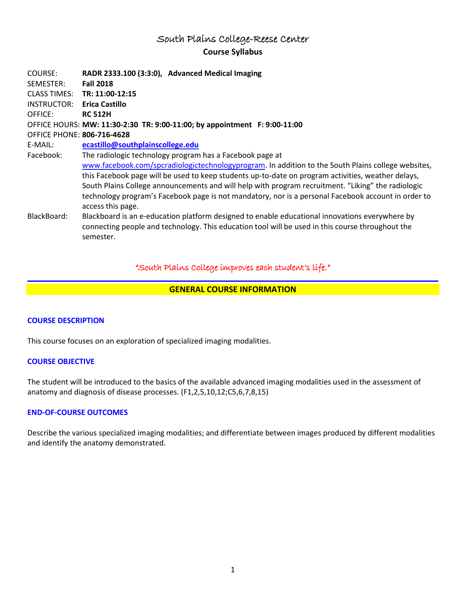# South Plains College-Reese Center **Course Syllabus**

| COURSE:<br>SEMESTER:              | RADR 2333.100 (3:3:0), Advanced Medical Imaging<br><b>Fall 2018</b>                                                                                                                                |
|-----------------------------------|----------------------------------------------------------------------------------------------------------------------------------------------------------------------------------------------------|
| <b>CLASS TIMES:</b>               | TR: 11:00-12:15                                                                                                                                                                                    |
| INSTRUCTOR:                       | Erica Castillo                                                                                                                                                                                     |
| OFFICE:                           | <b>RC 512H</b>                                                                                                                                                                                     |
|                                   | OFFICE HOURS: MW: 11:30-2:30 TR: 9:00-11:00; by appointment F: 9:00-11:00                                                                                                                          |
| <b>OFFICE PHONE: 806-716-4628</b> |                                                                                                                                                                                                    |
| E-MAIL:                           | ecastillo@southplainscollege.edu                                                                                                                                                                   |
| Facebook:                         | The radiologic technology program has a Facebook page at                                                                                                                                           |
|                                   | www.facebook.com/spcradiologictechnologyprogram. In addition to the South Plains college websites,                                                                                                 |
|                                   | this Facebook page will be used to keep students up-to-date on program activities, weather delays,                                                                                                 |
|                                   | South Plains College announcements and will help with program recruitment. "Liking" the radiologic                                                                                                 |
|                                   | technology program's Facebook page is not mandatory, nor is a personal Facebook account in order to<br>access this page.                                                                           |
| BlackBoard:                       | Blackboard is an e-education platform designed to enable educational innovations everywhere by<br>connecting people and technology. This education tool will be used in this course throughout the |
|                                   | semester.                                                                                                                                                                                          |

## "South Plains College improves each student's life."

## **GENERAL COURSE INFORMATION**

### **COURSE DESCRIPTION**

This course focuses on an exploration of specialized imaging modalities.

### **COURSE OBJECTIVE**

The student will be introduced to the basics of the available advanced imaging modalities used in the assessment of anatomy and diagnosis of disease processes. (F1,2,5,10,12;C5,6,7,8,15)

#### **END-OF-COURSE OUTCOMES**

Describe the various specialized imaging modalities; and differentiate between images produced by different modalities and identify the anatomy demonstrated.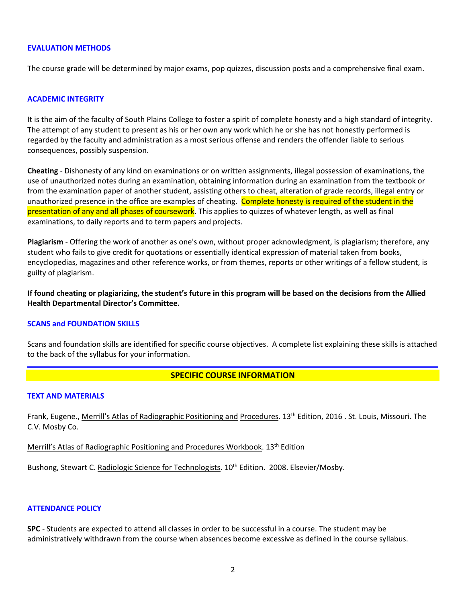#### **EVALUATION METHODS**

The course grade will be determined by major exams, pop quizzes, discussion posts and a comprehensive final exam.

#### **ACADEMIC INTEGRITY**

It is the aim of the faculty of South Plains College to foster a spirit of complete honesty and a high standard of integrity. The attempt of any student to present as his or her own any work which he or she has not honestly performed is regarded by the faculty and administration as a most serious offense and renders the offender liable to serious consequences, possibly suspension.

**Cheating** - Dishonesty of any kind on examinations or on written assignments, illegal possession of examinations, the use of unauthorized notes during an examination, obtaining information during an examination from the textbook or from the examination paper of another student, assisting others to cheat, alteration of grade records, illegal entry or unauthorized presence in the office are examples of cheating. Complete honesty is required of the student in the presentation of any and all phases of coursework. This applies to quizzes of whatever length, as well as final examinations, to daily reports and to term papers and projects.

**Plagiarism** - Offering the work of another as one's own, without proper acknowledgment, is plagiarism; therefore, any student who fails to give credit for quotations or essentially identical expression of material taken from books, encyclopedias, magazines and other reference works, or from themes, reports or other writings of a fellow student, is guilty of plagiarism.

**If found cheating or plagiarizing, the student's future in this program will be based on the decisions from the Allied Health Departmental Director's Committee.**

#### **SCANS and FOUNDATION SKILLS**

Scans and foundation skills are identified for specific course objectives. A complete list explaining these skills is attached to the back of the syllabus for your information.

### **SPECIFIC COURSE INFORMATION**

#### **TEXT AND MATERIALS**

Frank, Eugene., Merrill's Atlas of Radiographic Positioning and Procedures. 13th Edition, 2016 . St. Louis, Missouri. The C.V. Mosby Co.

Merrill's Atlas of Radiographic Positioning and Procedures Workbook. 13<sup>th</sup> Edition

Bushong, Stewart C. Radiologic Science for Technologists. 10<sup>th</sup> Edition. 2008. Elsevier/Mosby.

#### **ATTENDANCE POLICY**

**SPC** - Students are expected to attend all classes in order to be successful in a course. The student may be administratively withdrawn from the course when absences become excessive as defined in the course syllabus.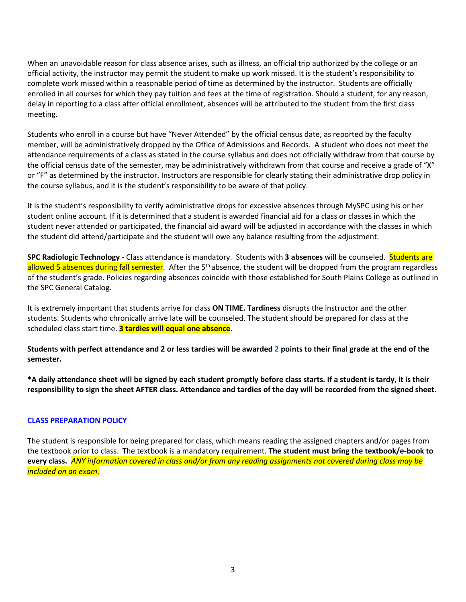When an unavoidable reason for class absence arises, such as illness, an official trip authorized by the college or an official activity, the instructor may permit the student to make up work missed. It is the student's responsibility to complete work missed within a reasonable period of time as determined by the instructor. Students are officially enrolled in all courses for which they pay tuition and fees at the time of registration. Should a student, for any reason, delay in reporting to a class after official enrollment, absences will be attributed to the student from the first class meeting.

Students who enroll in a course but have "Never Attended" by the official census date, as reported by the faculty member, will be administratively dropped by the Office of Admissions and Records. A student who does not meet the attendance requirements of a class as stated in the course syllabus and does not officially withdraw from that course by the official census date of the semester, may be administratively withdrawn from that course and receive a grade of "X" or "F" as determined by the instructor. Instructors are responsible for clearly stating their administrative drop policy in the course syllabus, and it is the student's responsibility to be aware of that policy.

It is the student's responsibility to verify administrative drops for excessive absences through MySPC using his or her student online account. If it is determined that a student is awarded financial aid for a class or classes in which the student never attended or participated, the financial aid award will be adjusted in accordance with the classes in which the student did attend/participate and the student will owe any balance resulting from the adjustment.

**SPC Radiologic Technology** - Class attendance is mandatory. Students with **3 absences** will be counseled. Students are allowed 5 absences during fall semester. After the 5<sup>th</sup> absence, the student will be dropped from the program regardless of the student's grade. Policies regarding absences coincide with those established for South Plains College as outlined in the SPC General Catalog.

It is extremely important that students arrive for class **ON TIME. Tardiness** disrupts the instructor and the other students. Students who chronically arrive late will be counseled. The student should be prepared for class at the scheduled class start time. **3 tardies will equal one absence**.

**Students with perfect attendance and 2 or less tardies will be awarded 2 points to their final grade at the end of the semester.**

**\*A daily attendance sheet will be signed by each student promptly before class starts. If a student is tardy, it is their responsibility to sign the sheet AFTER class. Attendance and tardies of the day will be recorded from the signed sheet.**

### **CLASS PREPARATION POLICY**

The student is responsible for being prepared for class, which means reading the assigned chapters and/or pages from the textbook prior to class. The textbook is a mandatory requirement. **The student must bring the textbook/e-book to every class.** *ANY information covered in class and/or from any reading assignments not covered during class may be included on an exam.*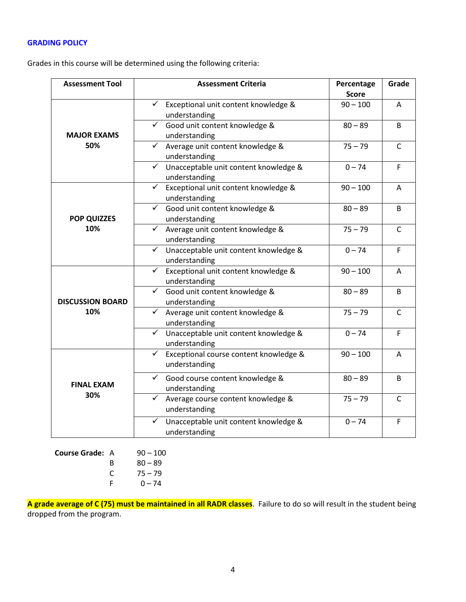## **GRADING POLICY**

Grades in this course will be determined using the following criteria:

| <b>Assessment Tool</b>  | <b>Assessment Criteria</b>                                              | Percentage<br><b>Score</b> | Grade        |
|-------------------------|-------------------------------------------------------------------------|----------------------------|--------------|
|                         | Exceptional unit content knowledge &<br>$\checkmark$<br>understanding   | $90 - 100$                 | A            |
| <b>MAJOR EXAMS</b>      | $\checkmark$<br>Good unit content knowledge &<br>understanding          | $80 - 89$                  | B            |
| 50%                     | ← Average unit content knowledge &<br>understanding                     | $75 - 79$                  | $\mathsf{C}$ |
|                         | $\checkmark$<br>Unacceptable unit content knowledge &<br>understanding  | $0 - 74$                   | F            |
|                         | Exceptional unit content knowledge &<br>$\checkmark$<br>understanding   | $90 - 100$                 | A            |
| <b>POP QUIZZES</b>      | Good unit content knowledge &<br>$\checkmark$<br>understanding          | $80 - 89$                  | B            |
| 10%                     | ← Average unit content knowledge &<br>understanding                     | $75 - 79$                  | $\mathsf{C}$ |
|                         | √ Unacceptable unit content knowledge &<br>understanding                | $0 - 74$                   | F            |
|                         | Exceptional unit content knowledge &<br>$\checkmark$<br>understanding   | $90 - 100$                 | Α            |
| <b>DISCUSSION BOARD</b> | ← Good unit content knowledge &<br>understanding                        | $80 - 89$                  | B            |
| 10%                     | $\checkmark$<br>Average unit content knowledge &<br>understanding       | $75 - 79$                  | $\mathsf{C}$ |
|                         | Unacceptable unit content knowledge &<br>$\checkmark$<br>understanding  | $0 - 74$                   | $\mathsf F$  |
|                         | Exceptional course content knowledge &<br>$\checkmark$<br>understanding | $90 - 100$                 | Α            |
| <b>FINAL EXAM</b>       | Good course content knowledge &<br>$\checkmark$<br>understanding        | $80 - 89$                  | B            |
| 30%                     | Average course content knowledge &<br>✓<br>understanding                | $75 - 79$                  | $\mathsf{C}$ |
|                         | Unacceptable unit content knowledge &<br>$\checkmark$<br>understanding  | $0 - 74$                   | $\mathsf F$  |

**Course Grade:** A 90 – 100 B  $80 - 89$ <br>C  $75 - 79$  $75 - 79$  $F = 0 - 74$ 

**A grade average of C (75) must be maintained in all RADR classes**. Failure to do so will result in the student being dropped from the program.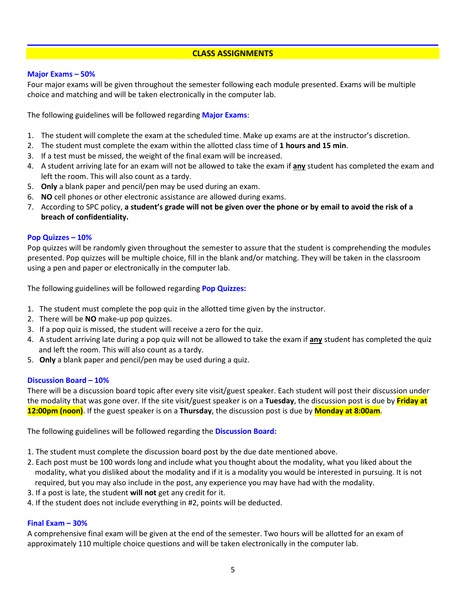## **CLASS ASSIGNMENTS**

### **Major Exams – 50%**

Four major exams will be given throughout the semester following each module presented. Exams will be multiple choice and matching and will be taken electronically in the computer lab.

The following guidelines will be followed regarding **Major Exams**:

- 1. The student will complete the exam at the scheduled time. Make up exams are at the instructor's discretion.
- 2. The student must complete the exam within the allotted class time of **1 hours and 15 min**.
- 3. If a test must be missed, the weight of the final exam will be increased.
- 4. A student arriving late for an exam will not be allowed to take the exam if **any** student has completed the exam and left the room. This will also count as a tardy.
- 5. **Only** a blank paper and pencil/pen may be used during an exam.
- 6. **NO** cell phones or other electronic assistance are allowed during exams.
- 7. According to SPC policy, **a student's grade will not be given over the phone or by email to avoid the risk of a breach of confidentiality.**

#### **Pop Quizzes – 10%**

Pop quizzes will be randomly given throughout the semester to assure that the student is comprehending the modules presented. Pop quizzes will be multiple choice, fill in the blank and/or matching. They will be taken in the classroom using a pen and paper or electronically in the computer lab.

The following guidelines will be followed regarding **Pop Quizzes:**

- 1. The student must complete the pop quiz in the allotted time given by the instructor.
- 2. There will be **NO** make-up pop quizzes.
- 3. If a pop quiz is missed, the student will receive a zero for the quiz.
- 4. A student arriving late during a pop quiz will not be allowed to take the exam if **any** student has completed the quiz and left the room. This will also count as a tardy.
- 5. **Only** a blank paper and pencil/pen may be used during a quiz.

#### **Discussion Board – 10%**

There will be a discussion board topic after every site visit/guest speaker. Each student will post their discussion under the modality that was gone over. If the site visit/guest speaker is on a **Tuesday**, the discussion post is due by **Friday at 12:00pm (noon)**. If the guest speaker is on a **Thursday**, the discussion post is due by **Monday at 8:00am**.

The following guidelines will be followed regarding the **Discussion Board:**

- 1. The student must complete the discussion board post by the due date mentioned above.
- 2. Each post must be 100 words long and include what you thought about the modality, what you liked about the modality, what you disliked about the modality and if it is a modality you would be interested in pursuing. It is not required, but you may also include in the post, any experience you may have had with the modality.
- 3. If a post is late, the student **will not** get any credit for it.
- 4. If the student does not include everything in #2, points will be deducted.

## **Final Exam – 30%**

A comprehensive final exam will be given at the end of the semester. Two hours will be allotted for an exam of approximately 110 multiple choice questions and will be taken electronically in the computer lab.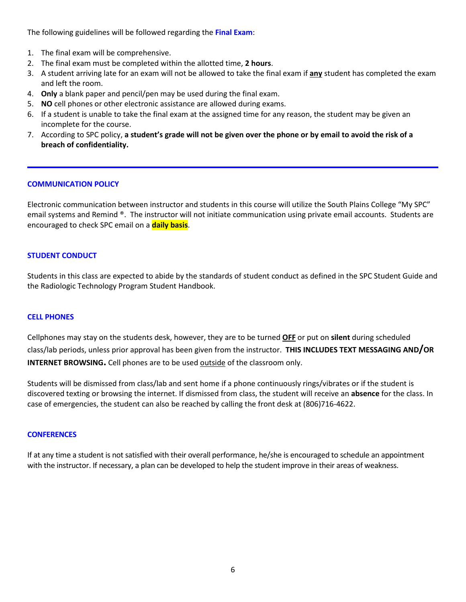The following guidelines will be followed regarding the **Final Exam**:

- 1. The final exam will be comprehensive.
- 2. The final exam must be completed within the allotted time, **2 hours**.
- 3. A student arriving late for an exam will not be allowed to take the final exam if **any** student has completed the exam and left the room.
- 4. **Only** a blank paper and pencil/pen may be used during the final exam.
- 5. **NO** cell phones or other electronic assistance are allowed during exams.
- 6. If a student is unable to take the final exam at the assigned time for any reason, the student may be given an incomplete for the course.
- 7. According to SPC policy, **a student's grade will not be given over the phone or by email to avoid the risk of a breach of confidentiality.**

#### **COMMUNICATION POLICY**

Electronic communication between instructor and students in this course will utilize the South Plains College "My SPC" email systems and Remind ®. The instructor will not initiate communication using private email accounts. Students are encouraged to check SPC email on a **daily basis**.

#### **STUDENT CONDUCT**

Students in this class are expected to abide by the standards of student conduct as defined in the SPC Student Guide and the Radiologic Technology Program Student Handbook.

#### **CELL PHONES**

Cellphones may stay on the students desk, however, they are to be turned **OFF** or put on **silent** during scheduled class/lab periods, unless prior approval has been given from the instructor. **THIS INCLUDES TEXT MESSAGING AND/OR INTERNET BROWSING.** Cell phones are to be used outside of the classroom only.

Students will be dismissed from class/lab and sent home if a phone continuously rings/vibrates or if the student is discovered texting or browsing the internet. If dismissed from class, the student will receive an **absence** for the class. In case of emergencies, the student can also be reached by calling the front desk at (806)716-4622.

#### **CONFERENCES**

If at any time a student is not satisfied with their overall performance, he/she is encouraged to schedule an appointment with the instructor. If necessary, a plan can be developed to help the student improve in their areas of weakness.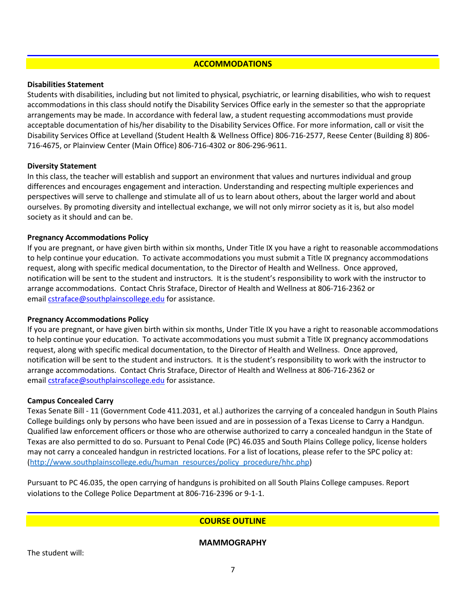## **ACCOMMODATIONS**

#### **Disabilities Statement**

Students with disabilities, including but not limited to physical, psychiatric, or learning disabilities, who wish to request accommodations in this class should notify the Disability Services Office early in the semester so that the appropriate arrangements may be made. In accordance with federal law, a student requesting accommodations must provide acceptable documentation of his/her disability to the Disability Services Office. For more information, call or visit the Disability Services Office at Levelland (Student Health & Wellness Office) 806-716-2577, Reese Center (Building 8) 806- 716-4675, or Plainview Center (Main Office) 806-716-4302 or 806-296-9611.

### **Diversity Statement**

In this class, the teacher will establish and support an environment that values and nurtures individual and group differences and encourages engagement and interaction. Understanding and respecting multiple experiences and perspectives will serve to challenge and stimulate all of us to learn about others, about the larger world and about ourselves. By promoting diversity and intellectual exchange, we will not only mirror society as it is, but also model society as it should and can be.

### **Pregnancy Accommodations Policy**

If you are pregnant, or have given birth within six months, Under Title IX you have a right to reasonable accommodations to help continue your education. To activate accommodations you must submit a Title IX pregnancy accommodations request, along with specific medical documentation, to the Director of Health and Wellness. Once approved, notification will be sent to the student and instructors. It is the student's responsibility to work with the instructor to arrange accommodations. Contact Chris Straface, Director of Health and Wellness at 806-716-2362 or email [cstraface@southplainscollege.edu](mailto:cstraface@southplainscollege.edu) for assistance.

### **Pregnancy Accommodations Policy**

If you are pregnant, or have given birth within six months, Under Title IX you have a right to reasonable accommodations to help continue your education. To activate accommodations you must submit a Title IX pregnancy accommodations request, along with specific medical documentation, to the Director of Health and Wellness. Once approved, notification will be sent to the student and instructors. It is the student's responsibility to work with the instructor to arrange accommodations. Contact Chris Straface, Director of Health and Wellness at 806-716-2362 or email [cstraface@southplainscollege.edu](mailto:cstraface@southplainscollege.edu) for assistance.

### **Campus Concealed Carry**

Texas Senate Bill - 11 (Government Code 411.2031, et al.) authorizes the carrying of a concealed handgun in South Plains College buildings only by persons who have been issued and are in possession of a Texas License to Carry a Handgun. Qualified law enforcement officers or those who are otherwise authorized to carry a concealed handgun in the State of Texas are also permitted to do so. Pursuant to Penal Code (PC) 46.035 and South Plains College policy, license holders may not carry a concealed handgun in restricted locations. For a list of locations, please refer to the SPC policy at: [\(http://www.southplainscollege.edu/human\\_resources/policy\\_procedure/hhc.php\)](http://www.southplainscollege.edu/human_resources/policy_procedure/hhc.php)

Pursuant to PC 46.035, the open carrying of handguns is prohibited on all South Plains College campuses. Report violations to the College Police Department at 806-716-2396 or 9-1-1.

# **COURSE OUTLINE**

**MAMMOGRAPHY**

The student will: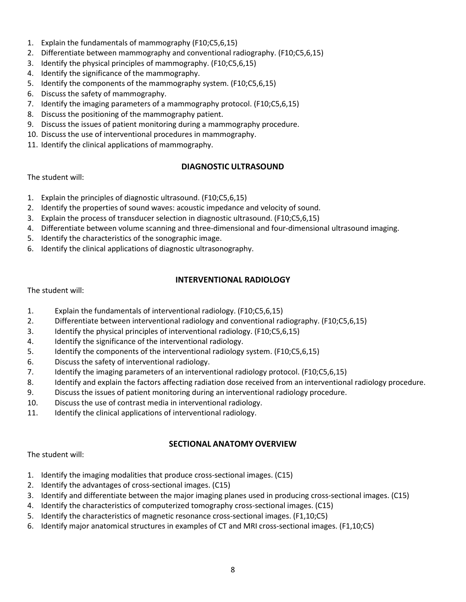- 1. Explain the fundamentals of mammography (F10;C5,6,15)
- 2. Differentiate between mammography and conventional radiography. (F10;C5,6,15)
- 3. Identify the physical principles of mammography. (F10;C5,6,15)
- 4. Identify the significance of the mammography.
- 5. Identify the components of the mammography system. (F10;C5,6,15)
- 6. Discuss the safety of mammography.
- 7. Identify the imaging parameters of a mammography protocol. (F10;C5,6,15)
- 8. Discuss the positioning of the mammography patient.
- 9. Discuss the issues of patient monitoring during a mammography procedure.
- 10. Discuss the use of interventional procedures in mammography.
- 11. Identify the clinical applications of mammography.

## **DIAGNOSTIC ULTRASOUND**

The student will:

- 1. Explain the principles of diagnostic ultrasound. (F10;C5,6,15)
- 2. Identify the properties of sound waves: acoustic impedance and velocity of sound.
- 3. Explain the process of transducer selection in diagnostic ultrasound. (F10;C5,6,15)
- 4. Differentiate between volume scanning and three-dimensional and four-dimensional ultrasound imaging.
- 5. Identify the characteristics of the sonographic image.
- 6. Identify the clinical applications of diagnostic ultrasonography.

## **INTERVENTIONAL RADIOLOGY**

The student will:

- 1. Explain the fundamentals of interventional radiology. (F10;C5,6,15)
- 2. Differentiate between interventional radiology and conventional radiography. (F10;C5,6,15)
- 3. Identify the physical principles of interventional radiology. (F10;C5,6,15)
- 4. Identify the significance of the interventional radiology.
- 5. Identify the components of the interventional radiology system. (F10;C5,6,15)
- 6. Discuss the safety of interventional radiology.
- 7. Identify the imaging parameters of an interventional radiology protocol. (F10;C5,6,15)
- 8. Identify and explain the factors affecting radiation dose received from an interventional radiology procedure.
- 9. Discuss the issues of patient monitoring during an interventional radiology procedure.
- 10. Discuss the use of contrast media in interventional radiology.
- 11. Identify the clinical applications of interventional radiology.

### **SECTIONAL ANATOMY OVERVIEW**

The student will:

- 1. Identify the imaging modalities that produce cross-sectional images. (C15)
- 2. Identify the advantages of cross-sectional images. (C15)
- 3. Identify and differentiate between the major imaging planes used in producing cross-sectional images. (C15)
- 4. Identify the characteristics of computerized tomography cross-sectional images. (C15)
- 5. Identify the characteristics of magnetic resonance cross-sectional images. (F1,10;C5)
- 6. Identify major anatomical structures in examples of CT and MRI cross-sectional images. (F1,10;C5)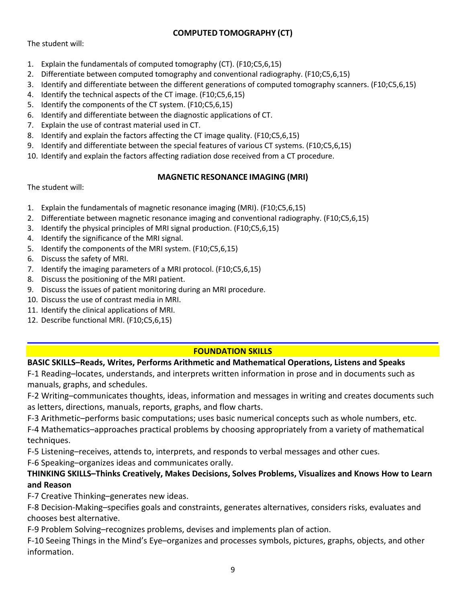# **COMPUTED TOMOGRAPHY (CT)**

The student will:

- 1. Explain the fundamentals of computed tomography (CT). (F10;C5,6,15)
- 2. Differentiate between computed tomography and conventional radiography. (F10;C5,6,15)
- 3. Identify and differentiate between the different generations of computed tomography scanners. (F10;C5,6,15)
- 4. Identify the technical aspects of the CT image. (F10;C5,6,15)
- 5. Identify the components of the CT system. (F10;C5,6,15)
- 6. Identify and differentiate between the diagnostic applications of CT.
- 7. Explain the use of contrast material used in CT.
- 8. Identify and explain the factors affecting the CT image quality. (F10;C5,6,15)
- 9. Identify and differentiate between the special features of various CT systems. (F10;C5,6,15)
- 10. Identify and explain the factors affecting radiation dose received from a CT procedure.

## **MAGNETIC RESONANCE IMAGING (MRI)**

The student will:

- 1. Explain the fundamentals of magnetic resonance imaging (MRI). (F10;C5,6,15)
- 2. Differentiate between magnetic resonance imaging and conventional radiography. (F10;C5,6,15)
- 3. Identify the physical principles of MRI signal production. (F10;C5,6,15)
- 4. Identify the significance of the MRI signal.
- 5. Identify the components of the MRI system. (F10;C5,6,15)
- 6. Discuss the safety of MRI.
- 7. Identify the imaging parameters of a MRI protocol. (F10;C5,6,15)
- 8. Discuss the positioning of the MRI patient.
- 9. Discuss the issues of patient monitoring during an MRI procedure.
- 10. Discuss the use of contrast media in MRI.
- 11. Identify the clinical applications of MRI.
- 12. Describe functional MRI. (F10;C5,6,15)

# **FOUNDATION SKILLS**

# **BASIC SKILLS–Reads, Writes, Performs Arithmetic and Mathematical Operations, Listens and Speaks**

F-1 Reading–locates, understands, and interprets written information in prose and in documents such as manuals, graphs, and schedules.

F-2 Writing–communicates thoughts, ideas, information and messages in writing and creates documents such as letters, directions, manuals, reports, graphs, and flow charts.

F-3 Arithmetic–performs basic computations; uses basic numerical concepts such as whole numbers, etc.

F-4 Mathematics–approaches practical problems by choosing appropriately from a variety of mathematical techniques.

F-5 Listening–receives, attends to, interprets, and responds to verbal messages and other cues.

F-6 Speaking–organizes ideas and communicates orally.

# **THINKING SKILLS–Thinks Creatively, Makes Decisions, Solves Problems, Visualizes and Knows How to Learn and Reason**

F-7 Creative Thinking–generates new ideas.

F-8 Decision-Making–specifies goals and constraints, generates alternatives, considers risks, evaluates and chooses best alternative.

F-9 Problem Solving–recognizes problems, devises and implements plan of action.

F-10 Seeing Things in the Mind's Eye–organizes and processes symbols, pictures, graphs, objects, and other information.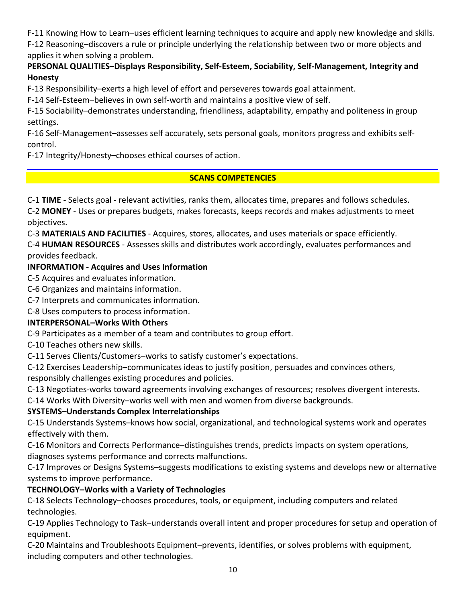F-11 Knowing How to Learn–uses efficient learning techniques to acquire and apply new knowledge and skills.

F-12 Reasoning–discovers a rule or principle underlying the relationship between two or more objects and applies it when solving a problem.

# **PERSONAL QUALITIES–Displays Responsibility, Self-Esteem, Sociability, Self-Management, Integrity and Honesty**

F-13 Responsibility–exerts a high level of effort and perseveres towards goal attainment.

F-14 Self-Esteem–believes in own self-worth and maintains a positive view of self.

F-15 Sociability–demonstrates understanding, friendliness, adaptability, empathy and politeness in group settings.

F-16 Self-Management–assesses self accurately, sets personal goals, monitors progress and exhibits selfcontrol.

F-17 Integrity/Honesty–chooses ethical courses of action.

# **SCANS COMPETENCIES**

C-1 **TIME** - Selects goal - relevant activities, ranks them, allocates time, prepares and follows schedules.

C-2 **MONEY** - Uses or prepares budgets, makes forecasts, keeps records and makes adjustments to meet objectives.

C-3 **MATERIALS AND FACILITIES** - Acquires, stores, allocates, and uses materials or space efficiently.

C-4 **HUMAN RESOURCES** - Assesses skills and distributes work accordingly, evaluates performances and provides feedback.

# **INFORMATION - Acquires and Uses Information**

C-5 Acquires and evaluates information.

C-6 Organizes and maintains information.

C-7 Interprets and communicates information.

C-8 Uses computers to process information.

# **INTERPERSONAL–Works With Others**

C-9 Participates as a member of a team and contributes to group effort.

C-10 Teaches others new skills.

C-11 Serves Clients/Customers–works to satisfy customer's expectations.

C-12 Exercises Leadership–communicates ideas to justify position, persuades and convinces others, responsibly challenges existing procedures and policies.

C-13 Negotiates-works toward agreements involving exchanges of resources; resolves divergent interests.

C-14 Works With Diversity–works well with men and women from diverse backgrounds.

# **SYSTEMS–Understands Complex Interrelationships**

C-15 Understands Systems–knows how social, organizational, and technological systems work and operates effectively with them.

C-16 Monitors and Corrects Performance–distinguishes trends, predicts impacts on system operations, diagnoses systems performance and corrects malfunctions.

C-17 Improves or Designs Systems–suggests modifications to existing systems and develops new or alternative systems to improve performance.

# **TECHNOLOGY–Works with a Variety of Technologies**

C-18 Selects Technology–chooses procedures, tools, or equipment, including computers and related technologies.

C-19 Applies Technology to Task–understands overall intent and proper procedures for setup and operation of equipment.

C-20 Maintains and Troubleshoots Equipment–prevents, identifies, or solves problems with equipment, including computers and other technologies.